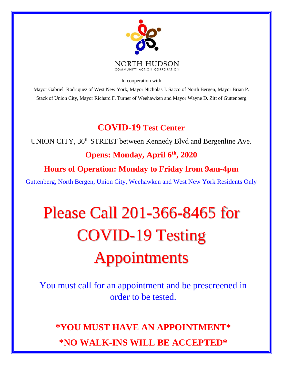

In cooperation with

Mayor Gabriel Rodriquez of West New York, Mayor Nicholas J. Sacco of North Bergen, Mayor Brian P. Stack of Union City, Mayor Richard F. Turner of Weehawken and Mayor Wayne D. Zitt of Guttenberg

### **COVID-19 Test Center**

UNION CITY, 36<sup>th</sup> STREET between Kennedy Blvd and Bergenline Ave.

### **Opens: Monday, April 6th, 2020**

#### **Hours of Operation: Monday to Friday from 9am-4pm**

Guttenberg, North Bergen, Union City, Weehawken and West New York Residents Only

# Please Call 201-366-8465 for COVID-19 Testing Appointments

You must call for an appointment and be prescreened in order to be tested.

## **\*YOU MUST HAVE AN APPOINTMENT\* \*NO WALK-INS WILL BE ACCEPTED\***